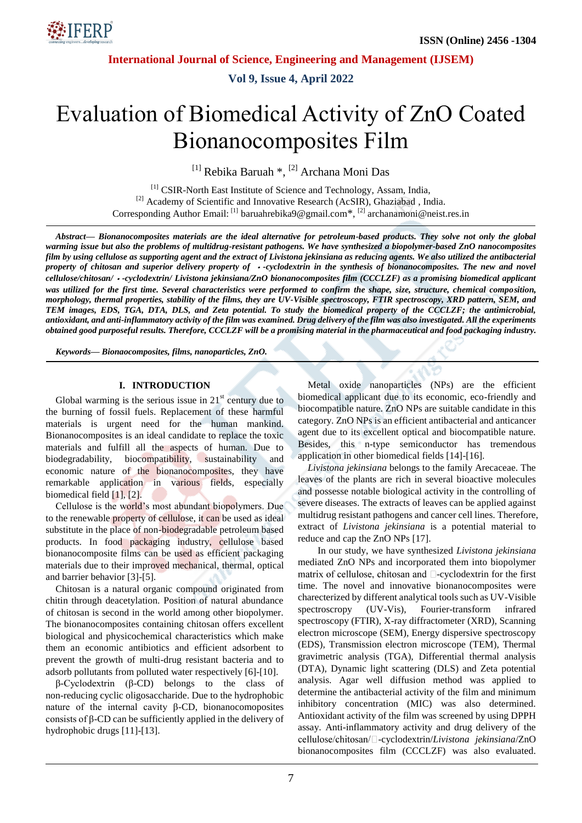

**Vol 9, Issue 4, April 2022**

# Evaluation of Biomedical Activity of ZnO Coated Bionanocomposites Film

<sup>[1]</sup> Rebika Baruah \*, <sup>[2]</sup> Archana Moni Das

[1] CSIR-North East Institute of Science and Technology, Assam, India, <sup>[2]</sup> Academy of Scientific and Innovative Research (AcSIR), Ghaziabad, India. Corresponding Author Email: [1] baruahrebika9@gmail.com\*, [2] archanamoni@neist.res.in

*Abstract— Bionanocomposites materials are the ideal alternative for petroleum-based products. They solve not only the global warming issue but also the problems of multidrug-resistant pathogens. We have synthesized a biopolymer-based ZnO nanocomposites film by using cellulose as supporting agent and the extract of Livistona jekinsiana as reducing agents. We also utilized the antibacterial property of chitosan and superior delivery property of -cyclodextrin in the synthesis of bionanocomposites. The new and novel cellulose/chitosan/ -cyclodextrin/ Livistona jekinsiana/ZnO bionanocomposites film (CCCLZF) as a promising biomedical applicant was utilized for the first time. Several characteristics were performed to confirm the shape, size, structure, chemical composition, morphology, thermal properties, stability of the films, they are UV-Visible spectroscopy, FTIR spectroscopy, XRD pattern, SEM, and TEM images, EDS, TGA, DTA, DLS, and Zeta potential. To study the biomedical property of the CCCLZF; the antimicrobial, antioxidant, and anti-inflammatory activity of the film was examined. Drug delivery of the film was also investigated. All the experiments obtained good purposeful results. Therefore, CCCLZF will be a promising material in the pharmaceutical and food packaging industry.*

*Keywords— Bionaocomposites, films, nanoparticles, ZnO.*

## **I. INTRODUCTION**

Global warming is the serious issue in  $21<sup>st</sup>$  century due to the burning of fossil fuels. Replacement of these harmful materials is urgent need for the human mankind. Bionanocomposites is an ideal candidate to replace the toxic materials and fulfill all the aspects of human. Due to biodegradability, biocompatibility, sustainability and economic nature of the bionanocomposites, they have remarkable application in various fields, especially biomedical field [1], [2].

Cellulose is the world's most abundant biopolymers. Due to the renewable property of cellulose, it can be used as ideal substitute in the place of non-biodegradable petroleum based products. In food packaging industry, cellulose based bionanocomposite films can be used as efficient packaging materials due to their improved mechanical, thermal, optical and barrier behavior [3]-[5].

Chitosan is a natural organic compound originated from chitin through deacetylation. Position of natural abundance of chitosan is second in the world among other biopolymer. The bionanocomposites containing chitosan offers excellent biological and physicochemical characteristics which make them an economic antibiotics and efficient adsorbent to prevent the growth of multi-drug resistant bacteria and to adsorb pollutants from polluted water respectively [6]-[10].

β-Cyclodextrin (β-CD) belongs to the class of non-reducing cyclic oligosaccharide. Due to the hydrophobic nature of the internal cavity β-CD, bionanocomoposites consists of β-CD can be sufficiently applied in the delivery of hydrophobic drugs [11]-[13].

Metal oxide nanoparticles (NPs) are the efficient biomedical applicant due to its economic, eco-friendly and biocompatible nature. ZnO NPs are suitable candidate in this category. ZnO NPs is an efficient antibacterial and anticancer agent due to its excellent optical and biocompatible nature. Besides, this n-type semiconductor has tremendous application in other biomedical fields [14]-[16].

*Livistona jekinsiana* belongs to the family Arecaceae. The leaves of the plants are rich in several bioactive molecules and possesse notable biological activity in the controlling of severe diseases. The extracts of leaves can be applied against multidrug resistant pathogens and cancer cell lines. Therefore, extract of *Livistona jekinsiana* is a potential material to reduce and cap the ZnO NPs [17].

In our study, we have synthesized *Livistona jekinsiana*  mediated ZnO NPs and incorporated them into biopolymer matrix of cellulose, chitosan and  $\square$ -cyclodextrin for the first time. The novel and innovative bionanocomposites were charecterized by different analytical tools such as UV-Visible spectroscropy (UV-Vis), Fourier-transform infrared spectroscopy (FTIR), X-ray diffractometer (XRD), Scanning electron microscope (SEM), Energy dispersive spectroscopy (EDS), Transmission electron microscope (TEM), Thermal gravimetric analysis (TGA), Differential thermal analysis (DTA), Dynamic light scattering (DLS) and Zeta potential analysis. Agar well diffusion method was applied to determine the antibacterial activity of the film and minimum inhibitory concentration (MIC) was also determined. Antioxidant activity of the film was screened by using DPPH assay. Anti-inflammatory activity and drug delivery of the -cyclodextrin/*Livistona jekinsiana*/ZnO bionanocomposites film (CCCLZF) was also evaluated.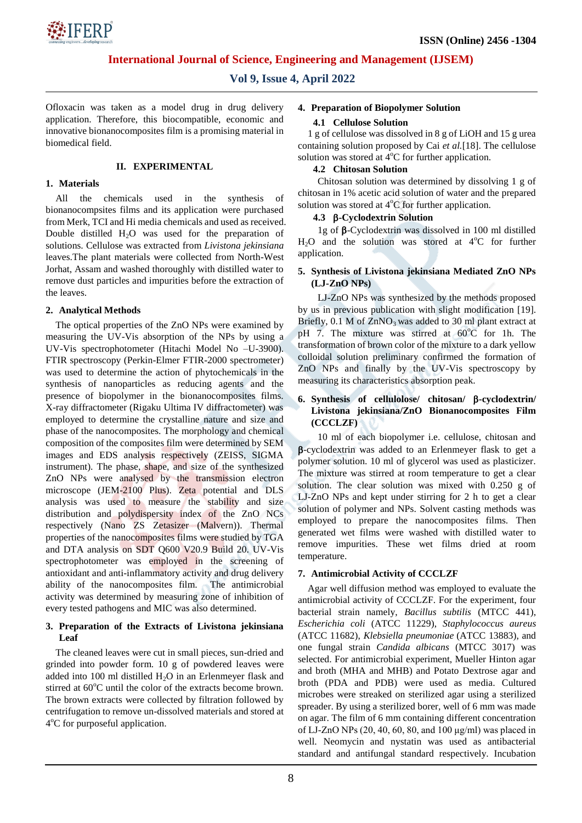

# **Vol 9, Issue 4, April 2022**

Ofloxacin was taken as a model drug in drug delivery application. Therefore, this biocompatible, economic and innovative bionanocomposites film is a promising material in biomedical field.

## **II. EXPERIMENTAL**

#### **1. Materials**

All the chemicals used in the synthesis of bionanocompsites films and its application were purchased from Merk, TCI and Hi media chemicals and used as received. Double distilled  $H_2O$  was used for the preparation of solutions. Cellulose was extracted from *Livistona jekinsiana* leaves.The plant materials were collected from North-West Jorhat, Assam and washed thoroughly with distilled water to remove dust particles and impurities before the extraction of the leaves.

## **2. Analytical Methods**

The optical properties of the ZnO NPs were examined by measuring the UV-Vis absorption of the NPs by using a UV-Vis spectrophotometer (Hitachi Model No –U-3900). FTIR spectroscopy (Perkin-Elmer FTIR-2000 spectrometer) was used to determine the action of phytochemicals in the synthesis of nanoparticles as reducing agents and the presence of biopolymer in the bionanocomposites films. X-ray diffractometer (Rigaku Ultima IV diffractometer) was employed to determine the crystalline nature and size and phase of the nanocomposites. The morphology and chemical composition of the composites film were determined by SEM images and EDS analysis respectively (ZEISS, SIGMA instrument). The phase, shape, and size of the synthesized ZnO NPs were analysed by the transmission electron microscope (JEM-2100 Plus). Zeta potential and DLS analysis was used to measure the stability and size distribution and polydispersity index of the ZnO NCs respectively (Nano ZS Zetasizer (Malvern)). Thermal properties of the nanocomposites films were studied by TGA and DTA analysis on SDT Q600 V20.9 Build 20. UV-Vis spectrophotometer was employed in the screening of antioxidant and anti-inflammatory activity and drug delivery ability of the nanocomposites film. The antimicrobial activity was determined by measuring zone of inhibition of every tested pathogens and MIC was also determined.

## **3. Preparation of the Extracts of Livistona jekinsiana Leaf**

The cleaned leaves were cut in small pieces, sun-dried and grinded into powder form. 10 g of powdered leaves were added into 100 ml distilled  $H_2O$  in an Erlenmeyer flask and stirred at  $60^{\circ}$ C until the color of the extracts become brown. The brown extracts were collected by filtration followed by centrifugation to remove un-dissolved materials and stored at 4°C for purposeful application.

#### **4. Preparation of Biopolymer Solution**

#### **4.1 Cellulose Solution**

1 g of cellulose was dissolved in 8 g of LiOH and 15 g urea containing solution proposed by Cai *et al.*[18]. The cellulose solution was stored at  $4^{\circ}C$  for further application.

#### **4.2 Chitosan Solution**

Chitosan solution was determined by dissolving 1 g of chitosan in 1% acetic acid solution of water and the prepared solution was stored at  $4^{\circ}$ C for further application.

#### **4.3 -Cyclodextrin Solution**

1g of  $\beta$ -Cyclodextrin was dissolved in 100 ml distilled  $H<sub>2</sub>O$  and the solution was stored at  $4^{\circ}C$  for further application.

## **5. Synthesis of Livistona jekinsiana Mediated ZnO NPs (LJ-ZnO NPs)**

LJ-ZnO NPs was synthesized by the methods proposed by us in previous publication with slight modification [19]. Briefly,  $0.1$  M of  $ZnNO<sub>3</sub>$  was added to 30 ml plant extract at pH 7. The mixture was stirred at  $60^{\circ}$ C for 1h. The transformation of brown color of the mixture to a dark yellow colloidal solution preliminary confirmed the formation of ZnO NPs and finally by the UV-Vis spectroscopy by measuring its characteristics absorption peak.

## **6. Synthesis of cellulolose/ chitosan/ -cyclodextrin/ Livistona jekinsiana/ZnO Bionanocomposites Film (CCCLZF)**

10 ml of each biopolymer i.e. cellulose, chitosan and -cyclodextrin was added to an Erlenmeyer flask to get a polymer solution. 10 ml of glycerol was used as plasticizer. The mixture was stirred at room temperature to get a clear solution. The clear solution was mixed with 0.250 g of LJ-ZnO NPs and kept under stirring for 2 h to get a clear solution of polymer and NPs. Solvent casting methods was employed to prepare the nanocomposites films. Then generated wet films were washed with distilled water to remove impurities. These wet films dried at room temperature.

## **7. Antimicrobial Activity of CCCLZF**

Agar well diffusion method was employed to evaluate the antimicrobial activity of CCCLZF. For the experiment, four bacterial strain namely, *Bacillus subtilis* (MTCC 441), *Escherichia coli* (ATCC 11229), *Staphylococcus aureus* (ATCC 11682), *Klebsiella pneumoniae* (ATCC 13883), and one fungal strain *Candida albicans* (MTCC 3017) was selected. For antimicrobial experiment, Mueller Hinton agar and broth (MHA and MHB) and Potato Dextrose agar and broth (PDA and PDB) were used as media. Cultured microbes were streaked on sterilized agar using a sterilized spreader. By using a sterilized borer, well of 6 mm was made on agar. The film of 6 mm containing different concentration of LJ-ZnO NPs (20, 40, 60, 80, and 100 μg/ml) was placed in well. Neomycin and nystatin was used as antibacterial standard and antifungal standard respectively. Incubation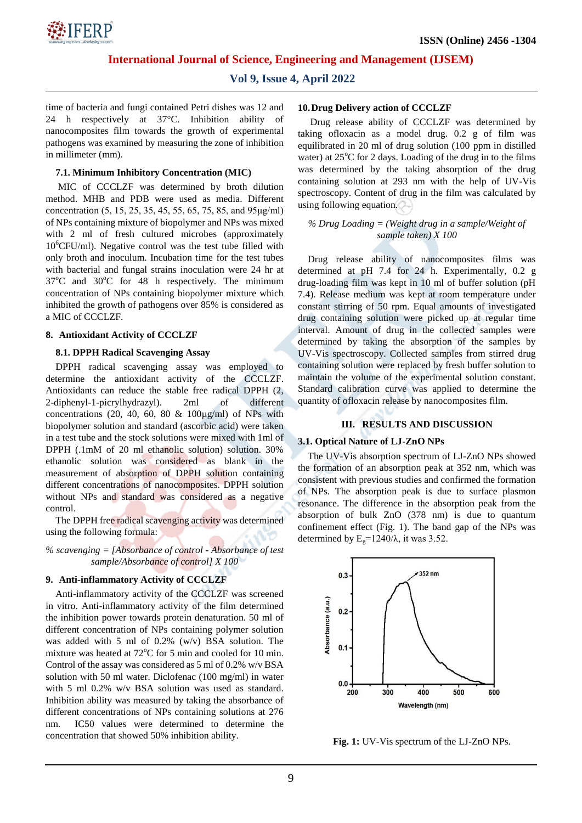

## **Vol 9, Issue 4, April 2022**

time of bacteria and fungi contained Petri dishes was 12 and 24 h respectively at 37°C. Inhibition ability of nanocomposites film towards the growth of experimental pathogens was examined by measuring the zone of inhibition in millimeter (mm).

## **7.1. Minimum Inhibitory Concentration (MIC)**

MIC of CCCLZF was determined by broth dilution method. MHB and PDB were used as media. Different concentration (5, 15, 25, 35, 45, 55, 65, 75, 85, and 95μg/ml) of NPs containing mixture of biopolymer and NPs was mixed with 2 ml of fresh cultured microbes (approximately  $10^6$ CFU/ml). Negative control was the test tube filled with only broth and inoculum. Incubation time for the test tubes with bacterial and fungal strains inoculation were 24 hr at  $37^{\circ}$ C and  $30^{\circ}$ C for 48 h respectively. The minimum concentration of NPs containing biopolymer mixture which inhibited the growth of pathogens over 85% is considered as a MIC of CCCLZF.

## **8. Antioxidant Activity of CCCLZF**

## **8.1. DPPH Radical Scavenging Assay**

DPPH radical scavenging assay was employed to determine the antioxidant activity of the CCCLZF. Antioxidants can reduce the stable free radical DPPH (2, 2-diphenyl-1-picrylhydrazyl). 2ml of different concentrations (20, 40, 60, 80  $\&$  100 $\mu$ g/ml) of NPs with biopolymer solution and standard (ascorbic acid) were taken in a test tube and the stock solutions were mixed with 1ml of DPPH (.1mM of 20 ml ethanolic solution) solution. 30% ethanolic solution was considered as blank in the measurement of absorption of DPPH solution containing different concentrations of nanocomposites. DPPH solution without NPs and standard was considered as a negative control.

The DPPH free radical scavenging activity was determined using the following formula:

*% scavenging = [Absorbance of control - Absorbance of test sample/Absorbance of control] X 100*

## **9. Anti-inflammatory Activity of CCCLZF**

Anti-inflammatory activity of the CCCLZF was screened in vitro. Anti-inflammatory activity of the film determined the inhibition power towards protein denaturation. 50 ml of different concentration of NPs containing polymer solution was added with 5 ml of 0.2% (w/v) BSA solution. The mixture was heated at  $72^{\circ}$ C for 5 min and cooled for 10 min. Control of the assay was considered as 5 ml of 0.2% w/v BSA solution with 50 ml water. Diclofenac (100 mg/ml) in water with 5 ml 0.2% w/v BSA solution was used as standard. Inhibition ability was measured by taking the absorbance of different concentrations of NPs containing solutions at 276 nm. IC50 values were determined to determine the concentration that showed 50% inhibition ability.

#### **10.Drug Delivery action of CCCLZF**

Drug release ability of CCCLZF was determined by taking ofloxacin as a model drug. 0.2 g of film was equilibrated in 20 ml of drug solution (100 ppm in distilled water) at  $25^{\circ}$ C for 2 days. Loading of the drug in to the films was determined by the taking absorption of the drug containing solution at 293 nm with the help of UV-Vis spectroscopy. Content of drug in the film was calculated by using following equation.

## *% Drug Loading = (Weight drug in a sample/Weight of sample taken) X 100*

Drug release ability of nanocomposites films was determined at pH 7.4 for 24 h. Experimentally, 0.2 g drug-loading film was kept in 10 ml of buffer solution (pH 7.4). Release medium was kept at room temperature under constant stirring of 50 rpm. Equal amounts of investigated drug containing solution were picked up at regular time interval. Amount of drug in the collected samples were determined by taking the absorption of the samples by UV-Vis spectroscopy. Collected samples from stirred drug containing solution were replaced by fresh buffer solution to maintain the volume of the experimental solution constant. Standard calibration curve was applied to determine the quantity of ofloxacin release by nanocomposites film.

## **III. RESULTS AND DISCUSSION**

#### **3.1. Optical Nature of LJ-ZnO NPs**

The UV-Vis absorption spectrum of LJ-ZnO NPs showed the formation of an absorption peak at 352 nm, which was consistent with previous studies and confirmed the formation of NPs. The absorption peak is due to surface plasmon resonance. The difference in the absorption peak from the absorption of bulk ZnO (378 nm) is due to quantum confinement effect (Fig. 1). The band gap of the NPs was determined by  $E_g=1240/\lambda$ , it was 3.52.



**Fig. 1:** UV-Vis spectrum of the LJ-ZnO NPs.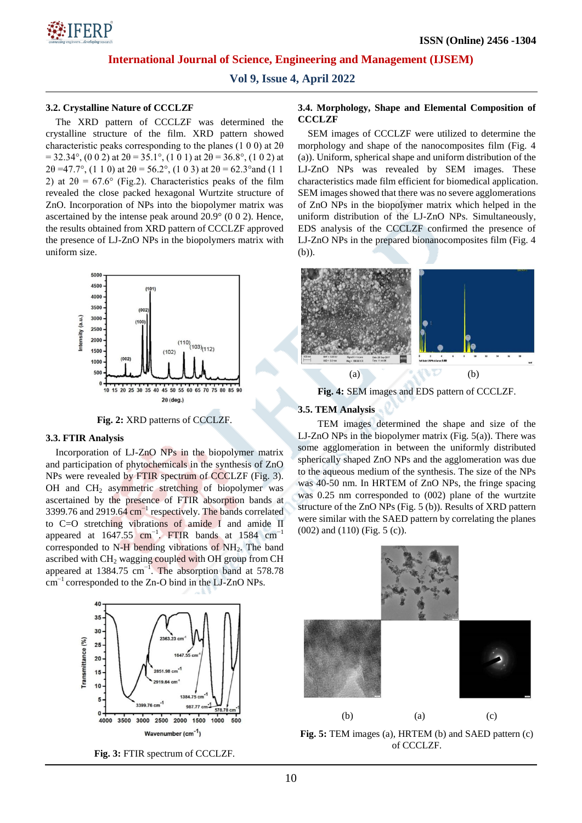

**Vol 9, Issue 4, April 2022**

#### **3.2. Crystalline Nature of CCCLZF**

The XRD pattern of CCCLZF was determined the crystalline structure of the film. XRD pattern showed characteristic peaks corresponding to the planes (1 0 0) at  $2\theta$  $= 32.34^{\circ}$ , (0 0 2) at  $2\theta = 35.1^{\circ}$ , (1 0 1) at  $2\theta = 36.8^{\circ}$ , (1 0 2) at  $2\theta = 47.7^\circ$ , (1 1 0) at  $2\theta = 56.2^\circ$ , (1 0 3) at  $2\theta = 62.3^\circ$  and (1 1 2) at  $2\theta = 67.6^{\circ}$  (Fig.2). Characteristics peaks of the film revealed the close packed hexagonal Wurtzite structure of ZnO. Incorporation of NPs into the biopolymer matrix was ascertained by the intense peak around 20.9° (0 0 2). Hence, the results obtained from XRD pattern of CCCLZF approved the presence of LJ-ZnO NPs in the biopolymers matrix with uniform size.



**Fig. 2:** XRD patterns of CCCLZF.

## **3.3. FTIR Analysis**

Incorporation of LJ-ZnO NPs in the biopolymer matrix and participation of phytochemicals in the synthesis of ZnO NPs were revealed by FTIR spectrum of CCCLZF (Fig. 3). OH and CH<sub>2</sub> asymmetric stretching of biopolymer was ascertained by the presence of FTIR absorption bands at 3399.76 and 2919.64 cm<sup>-1</sup> respectively. The bands correlated to C=O stretching vibrations of amide I and amide II appeared at  $1647.55$  cm<sup>-1</sup>. FTIR bands at 1584 cm<sup>-1</sup> corresponded to  $N-H$  bending vibrations of  $NH<sub>2</sub>$ . The band ascribed with  $CH<sub>2</sub>$  wagging coupled with OH group from CH appeared at 1384.75  $cm^{-1}$ . The absorption band at 578.78 cm−1 corresponded to the Zn-O bind in the LJ-ZnO NPs.



**Fig. 3:** FTIR spectrum of CCCLZF.

#### **3.4. Morphology, Shape and Elemental Composition of CCCLZF**

SEM images of CCCLZF were utilized to determine the morphology and shape of the nanocomposites film (Fig. 4 (a)). Uniform, spherical shape and uniform distribution of the LJ-ZnO NPs was revealed by SEM images. These characteristics made film efficient for biomedical application. SEM images showed that there was no severe agglomerations of ZnO NPs in the biopolymer matrix which helped in the uniform distribution of the LJ-ZnO NPs. Simultaneously, EDS analysis of the CCCLZF confirmed the presence of LJ-ZnO NPs in the prepared bionanocomposites film (Fig. 4 (b)).



**Fig. 4:** SEM images and EDS pattern of CCCLZF.

## **3.5. TEM Analysis**

TEM images determined the shape and size of the LJ-ZnO NPs in the biopolymer matrix (Fig. 5(a)). There was some agglomeration in between the uniformly distributed spherically shaped ZnO NPs and the agglomeration was due to the aqueous medium of the synthesis. The size of the NPs was 40-50 nm. In HRTEM of ZnO NPs, the fringe spacing was 0.25 nm corresponded to (002) plane of the wurtzite structure of the ZnO NPs (Fig. 5 (b)). Results of XRD pattern were similar with the SAED pattern by correlating the planes (002) and (110) (Fig. 5 (c)).



**Fig. 5:** TEM images (a), HRTEM (b) and SAED pattern (c) of CCCLZF.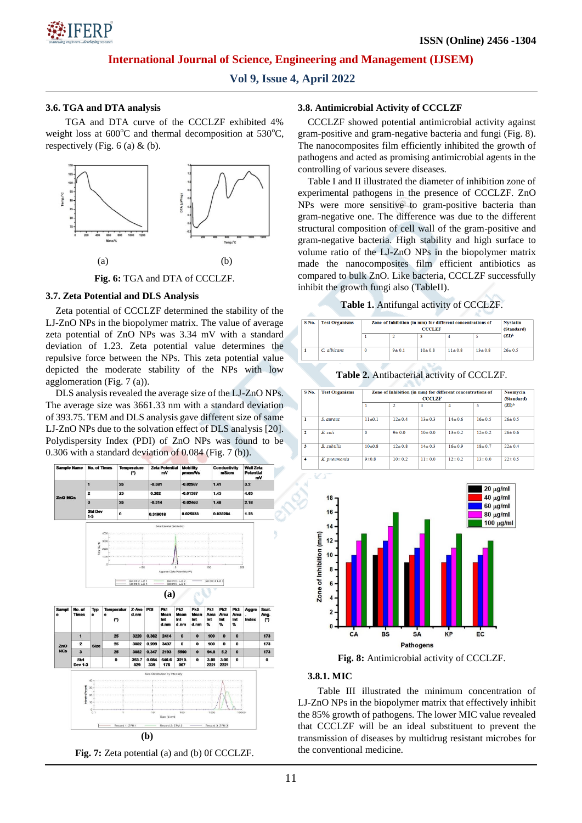

**Vol 9, Issue 4, April 2022**

## **3.6. TGA and DTA analysis**

TGA and DTA curve of the CCCLZF exhibited 4% weight loss at  $600^{\circ}$ C and thermal decomposition at  $530^{\circ}$ C, respectively (Fig.  $6$  (a)  $\&$  (b).



**Fig. 6:** TGA and DTA of CCCLZF.

## **3.7. Zeta Potential and DLS Analysis**

Zeta potential of CCCLZF determined the stability of the LJ-ZnO NPs in the biopolymer matrix. The value of average zeta potential of ZnO NPs was 3.34 mV with a standard deviation of 1.23. Zeta potential value determines the repulsive force between the NPs. This zeta potential value depicted the moderate stability of the NPs with low agglomeration (Fig. 7 (a)).

DLS analysis revealed the average size of the LJ-ZnO NPs. The average size was 3661.33 nm with a standard deviation of 393.75. TEM and DLS analysis gave different size of same LJ-ZnO NPs due to the solvation effect of DLS analysis [20]. Polydispersity Index (PDI) of ZnO NPs was found to be 0.306 with a standard deviation of 0.084 (Fig. 7 (b)).



**Fig. 7:** Zeta potential (a) and (b) 0f CCCLZF.

#### **3.8. Antimicrobial Activity of CCCLZF**

CCCLZF showed potential antimicrobial activity against gram-positive and gram-negative bacteria and fungi (Fig. 8). The nanocomposites film efficiently inhibited the growth of pathogens and acted as promising antimicrobial agents in the controlling of various severe diseases.

Table I and II illustrated the diameter of inhibition zone of experimental pathogens in the presence of CCCLZF. ZnO NPs were more sensitive to gram-positive bacteria than gram-negative one. The difference was due to the different structural composition of cell wall of the gram-positive and gram-negative bacteria. High stability and high surface to volume ratio of the LJ-ZnO NPs in the biopolymer matrix made the nanocomposites film efficient antibiotics as compared to bulk ZnO. Like bacteria, CCCLZF successfully inhibit the growth fungi also (TableII).

# **Table 1.** Antifungal activity of CCCLZF.

| No. | <b>Test Organisms</b> | Zone of Inhibition (in mm) for different concentrations of | <b>Nystatin</b><br>(Standard) |              |              |              |              |
|-----|-----------------------|------------------------------------------------------------|-------------------------------|--------------|--------------|--------------|--------------|
|     |                       |                                                            |                               |              |              |              | $(2I)^b$     |
|     | C. albicans           |                                                            | $9 + 0.1$                     | $10 \pm 0.8$ | $11 \pm 0.8$ | $13 \pm 0.8$ | $26 \pm 0.5$ |

**Table 2.** Antibacterial activity of CCCLZF.

| S No.          | <b>Test Organisms</b> | Zone of Inhibition (in mm) for different concentrations of | Neomycin<br>(Standard) |              |              |              |              |
|----------------|-----------------------|------------------------------------------------------------|------------------------|--------------|--------------|--------------|--------------|
|                |                       | 1                                                          | $\overline{2}$         | 3            | 4            | 5            | $(2I)^b$     |
| 1              | S. aureus             | $11 \pm 0.1$                                               | $12 \pm 0.4$           | $13 \pm 0.3$ | $14 \pm 0.6$ | $16 \pm 0.5$ | $26 \pm 0.5$ |
| $\overline{2}$ | E. coli               | $\Omega$                                                   | 9 ± 0.0                | $10 \pm 0.0$ | $13 \pm 0.2$ | $12 \pm 0.2$ | $26 \pm 0.6$ |
| 3              | <b>B.</b> subtilis    | 10±0.8                                                     | $12 \pm 0.8$           | $14 \pm 03$  | $16 \pm 0.9$ | $18 \pm 0.7$ | $22 \pm 0.4$ |
| 4              | K. pneumonia          | $9 + 0.8$                                                  | $10 \pm 0.2$           | $11 \pm 0.0$ | $12 \pm 0.2$ | $13 \pm 0.0$ | $22 \pm 0.5$ |



**Fig. 8:** Antimicrobial activity of CCCLZF.

## **3.8.1. MIC**

Table III illustrated the minimum concentration of LJ-ZnO NPs in the biopolymer matrix that effectively inhibit the 85% growth of pathogens. The lower MIC value revealed that CCCLZF will be an ideal substituent to prevent the transmission of diseases by multidrug resistant microbes for the conventional medicine.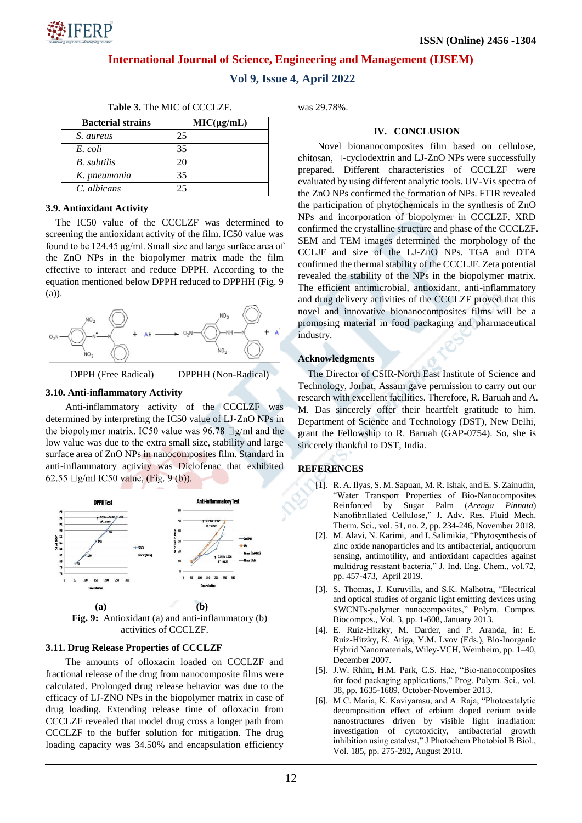

**Vol 9, Issue 4, April 2022**

| <b>Bacterial strains</b> | $MIC(\mu g/mL)$ |  |  |  |
|--------------------------|-----------------|--|--|--|
| S. aureus                | 25              |  |  |  |
| E. coli                  | 35              |  |  |  |
| B. subtilis              | 20              |  |  |  |
| K. pneumonia             | 35              |  |  |  |

|  |  | <b>Table 3.</b> The MIC of CCCLZF. |
|--|--|------------------------------------|
|--|--|------------------------------------|

## **3.9. Antioxidant Activity**

*C. albicans* 25

The IC50 value of the CCCLZF was determined to screening the antioxidant activity of the film. IC50 value was found to be 124.45 μg/ml. Small size and large surface area of the ZnO NPs in the biopolymer matrix made the film effective to interact and reduce DPPH. According to the equation mentioned below DPPH reduced to DPPHH (Fig. 9 (a)).



DPPH (Free Radical) DPPHH (Non-Radical)

## **3.10. Anti-inflammatory Activity**

Anti-inflammatory activity of the CCCLZF was determined by interpreting the IC50 value of LJ-ZnO NPs in the biopolymer matrix. IC50 value was  $96.78$   $\Box$ g/ml and the low value was due to the extra small size, stability and large surface area of ZnO NPs in nanocomposites film. Standard in anti-inflammatory activity was Diclofenac that exhibited 62.55  $\Box$ g/ml IC50 value, (Fig. 9 (b)).



**Fig. 9:** Antioxidant (a) and anti-inflammatory (b) activities of CCCLZF.

## **3.11. Drug Release Properties of CCCLZF**

The amounts of ofloxacin loaded on CCCLZF and fractional release of the drug from nanocomposite films were calculated. Prolonged drug release behavior was due to the efficacy of LJ-ZNO NPs in the biopolymer matrix in case of drug loading. Extending release time of ofloxacin from CCCLZF revealed that model drug cross a longer path from CCCLZF to the buffer solution for mitigation. The drug loading capacity was 34.50% and encapsulation efficiency was 29.78%.

## **IV. CONCLUSION**

Novel bionanocomposites film based on cellulose, chitosan,  $\square$ -cyclodextrin and LJ-ZnO NPs were successfully prepared. Different characteristics of CCCLZF were evaluated by using different analytic tools. UV-Vis spectra of the ZnO NPs confirmed the formation of NPs. FTIR revealed the participation of phytochemicals in the synthesis of ZnO NPs and incorporation of biopolymer in CCCLZF. XRD confirmed the crystalline structure and phase of the CCCLZF. SEM and TEM images determined the morphology of the CCLJF and size of the LJ-ZnO NPs. TGA and DTA confirmed the thermal stability of the CCCLJF. Zeta potential revealed the stability of the NPs in the biopolymer matrix. The efficient antimicrobial, antioxidant, anti-inflammatory and drug delivery activities of the CCCLZF proved that this novel and innovative bionanocomposites films will be a promosing material in food packaging and pharmaceutical industry.

## **Acknowledgments**

The Director of CSIR-North East Institute of Science and Technology, Jorhat, Assam gave permission to carry out our research with excellent facilities. Therefore, R. Baruah and A. M. Das sincerely offer their heartfelt gratitude to him. Department of Science and Technology (DST), New Delhi, grant the Fellowship to R. Baruah (GAP-0754). So, she is sincerely thankful to DST, India.

## **REFERENCES**

- [1]. R. A. Ilyas, S. M. Sapuan, M. R. Ishak, and E. S. Zainudin, "Water Transport Properties of Bio-Nanocomposites Reinforced by Sugar Palm (*Arenga Pinnata*) Nanofibrillated Cellulose," J. Adv. Res. Fluid Mech. Therm. Sci., vol. 51, no. 2, pp. 234-246, November 2018.
- [2]. [M. Alavi,](https://www.sciencedirect.com/science/article/abs/pii/S1226086X19300024#!) [N. Karimi,](https://www.sciencedirect.com/science/article/abs/pii/S1226086X19300024#!) and [I. Salimikia,](https://www.sciencedirect.com/science/article/abs/pii/S1226086X19300024#!) "Phytosynthesis of zinc oxide nanoparticles and its antibacterial, antiquorum sensing, antimotility, and antioxidant capacities against multidrug resistant bacteria," J. Ind. Eng. Chem., vol.72, pp. 457-473, April 2019.
- [3]. S. Thomas, J. Kuruvilla, and S.K. Malhotra, "Electrical and optical studies of organic light emitting devices using SWCNTs-polymer nanocomposites," Polym. Compos. Biocompos., Vol. 3, pp. 1-608, January 2013.
- [4]. E. Ruiz-Hitzky, M. Darder, and P. Aranda, in: E. Ruiz-Hitzky, K. Ariga, Y.M. Lvov (Eds.), Bio-Inorganic Hybrid Nanomaterials, Wiley-VCH, Weinheim, pp. 1–40, December 2007.
- [5]. J.W. Rhim, H.M. Park, C.S. Hac, "Bio-nanocomposites for food packaging applications," Prog. Polym. Sci., vol. 38, pp. 1635-1689, October-November 2013.
- [6]. M.C. Maria, K. Kaviyarasu, and A. Raja, "Photocatalytic decomposition effect of erbium doped cerium oxide nanostructures driven by visible light irradiation: investigation of cytotoxicity, antibacterial growth inhibition using catalyst," J Photochem Photobiol B Biol., Vol. 185, pp. 275-282, August 2018.